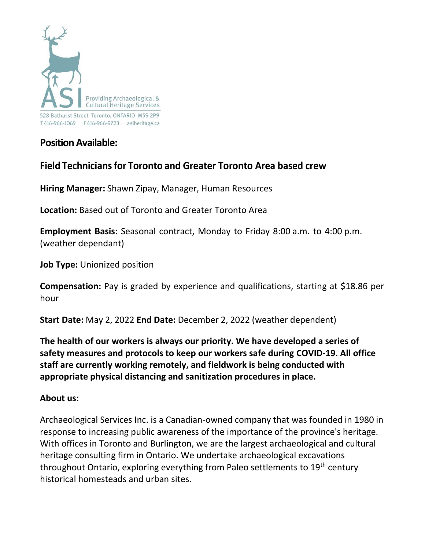

**Position Available:**

# **Field Techniciansfor Toronto and Greater Toronto Area based crew**

**Hiring Manager:** Shawn Zipay, Manager, Human Resources

**Location:** Based out of Toronto and Greater Toronto Area

**Employment Basis:** Seasonal contract, Monday to Friday 8:00 a.m. to 4:00 p.m. (weather dependant)

**Job Type:** Unionized position

**Compensation:** Pay is graded by experience and qualifications, starting at \$18.86 per hour

**Start Date:** May 2, 2022 **End Date:** December 2, 2022 (weather dependent)

**The health of our workers is always our priority. We have developed a series of safety measures and protocols to keep our workers safe during COVID-19. All office staff are currently working remotely, and fieldwork is being conducted with appropriate physical distancing and sanitization procedures in place.**

# **About us:**

Archaeological Services Inc. is a Canadian-owned company that was founded in 1980 in response to increasing public awareness of the importance of the province's heritage. With offices in Toronto and Burlington, we are the largest archaeological and cultural heritage consulting firm in Ontario. We undertake archaeological excavations throughout Ontario, exploring everything from Paleo settlements to 19<sup>th</sup> century historical homesteads and urban sites.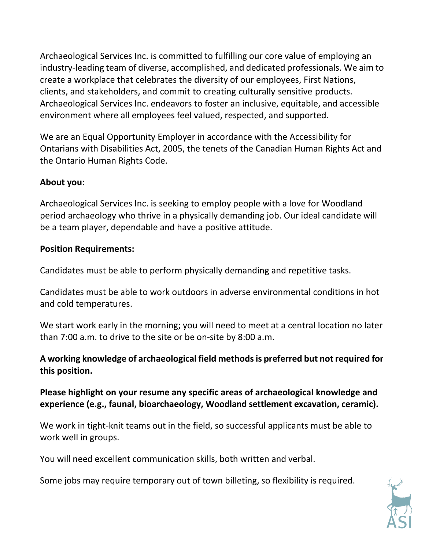Archaeological Services Inc. is committed to fulfilling our core value of employing an industry-leading team of diverse, accomplished, and dedicated professionals. We aim to create a workplace that celebrates the diversity of our employees, First Nations, clients, and stakeholders, and commit to creating culturally sensitive products. Archaeological Services Inc. endeavors to foster an inclusive, equitable, and accessible environment where all employees feel valued, respected, and supported.

We are an Equal Opportunity Employer in accordance with the Accessibility for Ontarians with Disabilities Act, 2005, the tenets of the Canadian Human Rights Act and the Ontario Human Rights Code.

## **About you:**

Archaeological Services Inc. is seeking to employ people with a love for Woodland period archaeology who thrive in a physically demanding job. Our ideal candidate will be a team player, dependable and have a positive attitude.

#### **Position Requirements:**

Candidates must be able to perform physically demanding and repetitive tasks.

Candidates must be able to work outdoors in adverse environmental conditions in hot and cold temperatures.

We start work early in the morning; you will need to meet at a central location no later than 7:00 a.m. to drive to the site or be on-site by 8:00 a.m.

## **A working knowledge of archaeological field methodsis preferred but not required for this position.**

**Please highlight on your resume any specific areas of archaeological knowledge and experience (e.g., faunal, bioarchaeology, Woodland settlement excavation, ceramic).**

We work in tight-knit teams out in the field, so successful applicants must be able to work well in groups.

You will need excellent communication skills, both written and verbal.

Some jobs may require temporary out of town billeting, so flexibility is required.